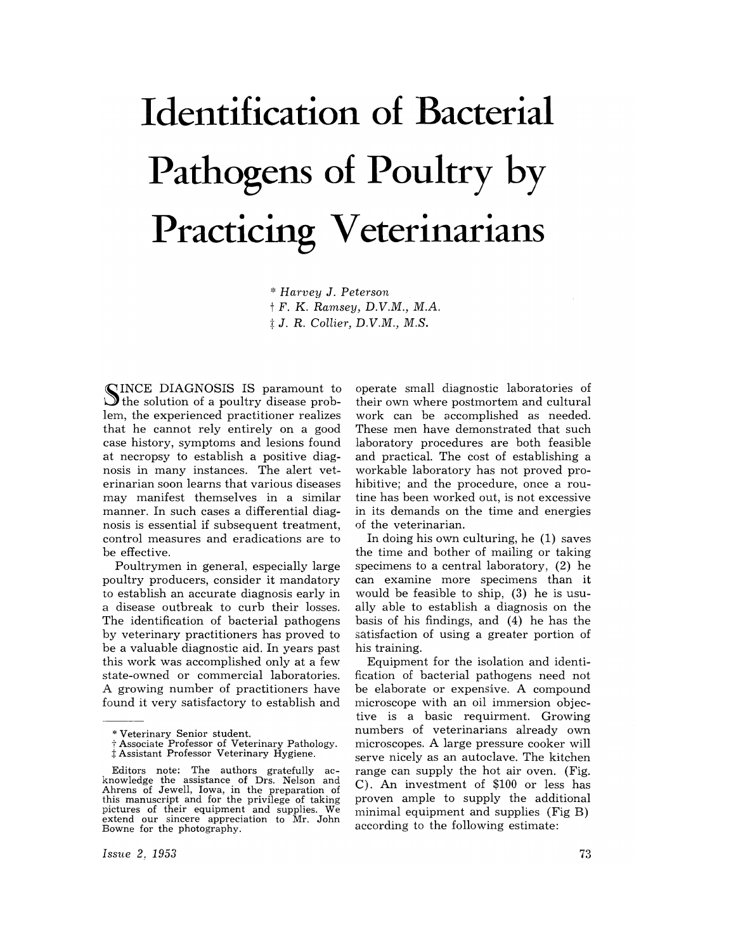# **Identification of Bacterial Pathogens of Poultry by Practicing Veterinarians**

\* *Harvey* J. *Peterson*  t F. K. *Ramsey, D.V.M., M.A.*  j: J. R. *Collier, D.V.M., M.S.* 

SINCE DIAGNOSIS IS paramount to<br>the solution of a poultry disease problem, the experienced practitioner realizes that he cannot rely entirely on a good case history, symptoms and lesions found at necropsy to establish a positive diagnosis in many instances. The alert veterinarian soon learns that various diseases may manifest themselves in a similar manner. In such cases a differential diagnosis is essential if subsequent treatment, control measures and eradications are to be effective.

Poultrymen in general, especially large poultry producers, consider it mandatory to establish an accurate diagnosis early in a disease outbreak to curb their losses. The identification of bacterial pathogens by veterinary practitioners has proved to be a valuable diagnostic aid. In years past this work was accomplished only at a few state-owned or commercial laboratories. A growing number of practitioners have found it very satisfactory to establish and

operate small diagnostic laboratories of their own where postmortem and cultural work can be accomplished as needed. These men have demonstrated that such laboratory procedures are both feasible and practical. The cost of establishing a workable laboratory has not proved prohibitive; and the procedure, once a routine has been worked out, is not excessive in its demands on the time and energies of the veterinarian.

In doing his own culturing, he (1) saves the time and bother of mailing or taking specimens to a central laboratory, (2) he can examine more specimens than it would be feasible to ship, (3) he is usually able to establish a diagnosis on the basis of his findings, and (4) he has the satisfaction of using a greater portion of his training.

Equipment for the isolation and identification of bacterial pathogens need not be elaborate or expensive. A compound microscope with an oil immersion objective is a basic requirment. Growing numbers of veterinarians already own microscopes. A large pressure cooker will serve nicely as an autoclave. The kitchen range can supply the hot air oven. (Fig. C). An investment of \$100 or less has proven ample to supply the additional minimal equipment and supplies (Fig B) according to the following estimate:

<sup>\*</sup> Veterinary Senior student.

t Associate Professor of Veterinary Pathology. t Assistant Professor Veterinary Hygiene.

Editors note: The authors gratefully ac- knowledge the assistance of Drs. Nelson and Ahrens of Jewell, Iowa, in the preparation of this manuscript and for the privilege of taking pictures of their equipment and supplies. We extend our sincere appreciation to Mr. John Bowne for the photography.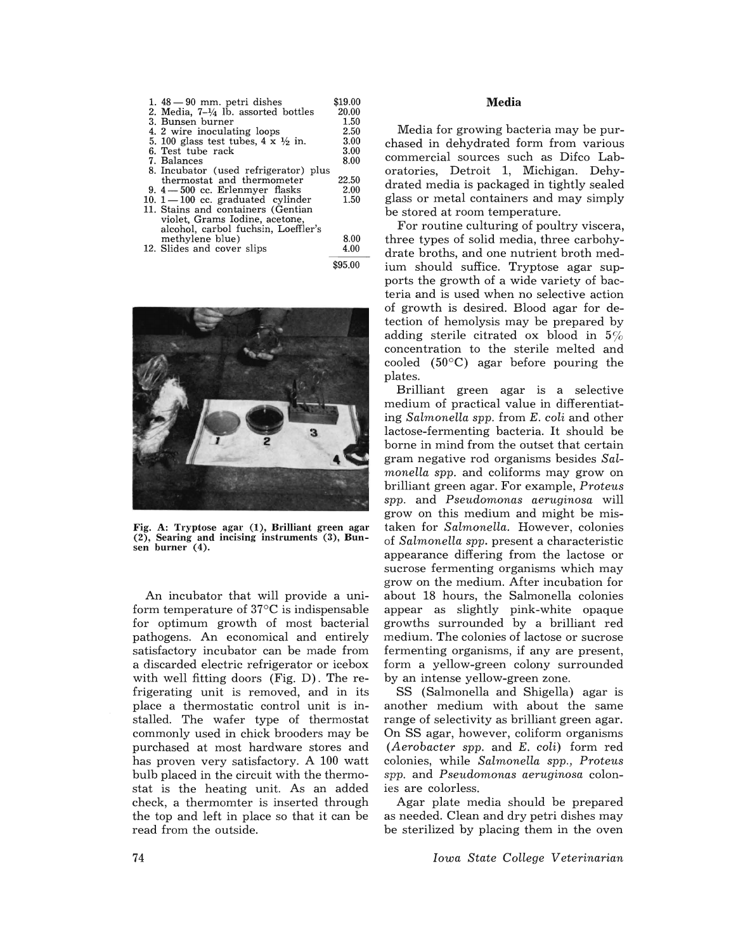| 1. $48 - 90$ mm, petri dishes                       | \$19.00 |
|-----------------------------------------------------|---------|
| 2. Media, $7-\frac{1}{4}$ lb. assorted bottles      | 20.00   |
| 3. Bunsen burner                                    | 1.50    |
| 4. 2 wire inoculating loops                         | 2.50    |
| 5. 100 glass test tubes, $4 \times \frac{1}{2}$ in. | 3.00    |
| 6. Test tube rack                                   | 3.00    |
| 7. Balances                                         | 8.00    |
| 8. Incubator (used refrigerator) plus               |         |
| thermostat and thermometer                          | 22.50   |
| 9. $4 - 500$ cc. Erlenmyer flasks                   | 2.00    |
| 10. $1 - 100$ cc. graduated cylinder                | 1.50    |
| 11. Stains and containers (Gentian                  |         |
| violet, Grams Iodine, acetone,                      |         |
| alcohol, carbol fuchsin, Loeffler's                 |         |
| methylene blue)                                     | 8.00    |
| 12. Slides and cover slips                          | 4.00    |
|                                                     | 95.00   |



Fig. A: Tryptose agar (1), Brilliant green agar (2), Searing and incising instruments (3), **Bun-** sen burner (4).

An incubator that will provide a uniform temperature of 37°C is indispensable for optimum growth of most bacterial pathogens. An economical and entirely satisfactory incubator can be made from a discarded electric refrigerator or icebox with well fitting doors (Fig. D). The refrigerating unit is removed, and in its place a thermostatic control unit is installed. The wafer type of thermostat commonly used in chick brooders may be purchased at most hardware stores and has proven very satisfactory. A 100 watt bulb placed in the circuit with the thermostat is the heating unit. As an added check, a thermomter is inserted through the top and left in place so that it can be read from the outside.

#### **Media**

Media for growing bacteria may be purchased in dehydrated form from various commercial sources such as Difco Laboratories, Detroit 1, Michigan. Dehydrated media is packaged in tightly sealed glass or metal containers and may simply be stored at room temperature.

For routine culturing of poultry viscera, three types of solid media, three carbohydrate broths, and one nutrient broth medium should suffice. Tryptose agar supports the growth of a wide variety of bacteria and is used when no selective action of growth is desired. Blood agar for detection of hemolysis may be prepared by adding sterile citrated ox blood in  $5\%$ concentration to the sterile melted and cooled  $(50^{\circ}C)$  agar before pouring the plates.

Brilliant green agar is a selective medium of practical value in differentiating *Salmonella spp.* from *E. coli* and other lactose-fermenting bacteria. It should be borne in mind from the outset that certain gram negative rod organisms besides *Salmonella spp.* and coliforms may grow on brilliant green agar. For example, *Proteus spp.* and *Pseudomonas aeruginosa* will grow on this medium and might be mistaken for *Salmonella.* However, colonies of *Salmonella spp.* present a characteristic appearance differing from the lactose or sucrose fermenting organisms which may grow on the medium. After incubation for about 18 hours, the Salmonella colonies appear as slightly pink-white opaque growths surrounded by a brilliant red medium. The colonies of lactose or sucrose fermenting organisms, if any are present, form a yellow-green colony surrounded by an intense yellow-green zone.

SS (Salmonella and Shigella) agar is another medium with about the same range of selectivity as brilliant green agar. On SS agar, however, coliform organisms *(Aerobacter spp.* and *E. coli)* form red colonies, while *Salmonella spp., Proteus spp.* and *Pseudomonas aeruginosa* colonies are colorless.

Agar plate media should be prepared as needed. Clean and dry petri dishes may be sterilized by placing them in the oven

*Iowa State College Veterinarian*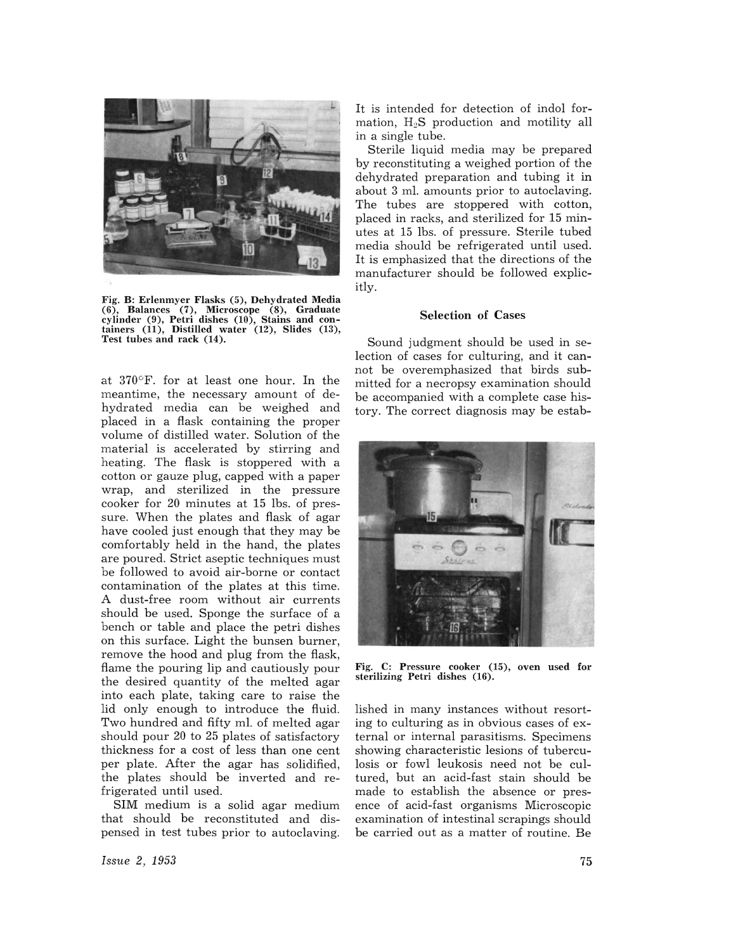

Fig. B: Erlenmyer Flasks (5), Dehydrated Media (6), Balances (7), Microscope (8), Graduate cylinder (9), Petri dishes (10), Stains and con- tainers (11), Distilled water (12), Slides (13), Test tubes and rack (14).

at  $370^{\circ}$ F. for at least one hour. In the meantime, the necessary amount of dehydrated media can be weighed and placed in a flask containing the proper volume of distilled water. Solution of the material is accelerated by stirring and heating. The flask is stoppered with a cotton or gauze plug, capped with a paper wrap, and sterilized in the pressure cooker for 20 minutes at 15 lbs. of pressure. When the plates and flask of agar have cooled just enough that they may be comfortably held in the hand, the plates are poured. Strict aseptic techniques must be followed to avoid air-borne or contact contamination of the plates at this time. A dust-free room without air currents should be used. Sponge the surface of a bench or table and place the petri dishes on this surface. Light the bunsen burner, remove the hood and plug from the flask, flame the pouring lip and cautiously pour the desired quantity of the melted agar into each plate, taking care to raise the lid only enough to introduce the fluid. Two hundred and fifty ml. of melted agar should pour 20 to 25 plates of satisfactory thickness for a cost of less than one cent per plate. After the agar has solidified, the plates should be inverted and refrigerated until used.

SIM medium is a solid agar medium that should be reconstituted and dispensed in test tubes prior to autoclaving.

It is intended for detection of indol formation,  $H_2S$  production and motility all in a single tube.

Sterile liquid media may be prepared by reconstituting a weighed portion of the dehydrated preparation and tubing it in about 3 ml. amounts prior to autoclaving. The tubes are stoppered with cotton, placed in racks, and sterilized for 15 minutes at 15 lbs. of pressure. Sterile tubed media should be refrigerated until used. It is emphasized that the directions of the manufacturer should be followed explicitly.

### Selection of Cases

Sound judgment should be used in selection of cases for culturing, and it cannot be overemphasized that birds submitted for a necropsy examination should be accompanied with a complete case history. The correct diagnosis may be estab-



Fig. C: Pressure cooker (15), oven used for sterilizing Petri dishes (16).

lished in many instances without resorting to culturing as in obvious cases of external or internal parasitisms. Specimens showing characteristic lesions of tuberculosis or fowl leukosis need not be cultured, but an acid-fast stain should be made to establish the absence or presence of acid-fast organisms Microscopic examination of intestinal scrapings should be carried out as a matter of routine. Be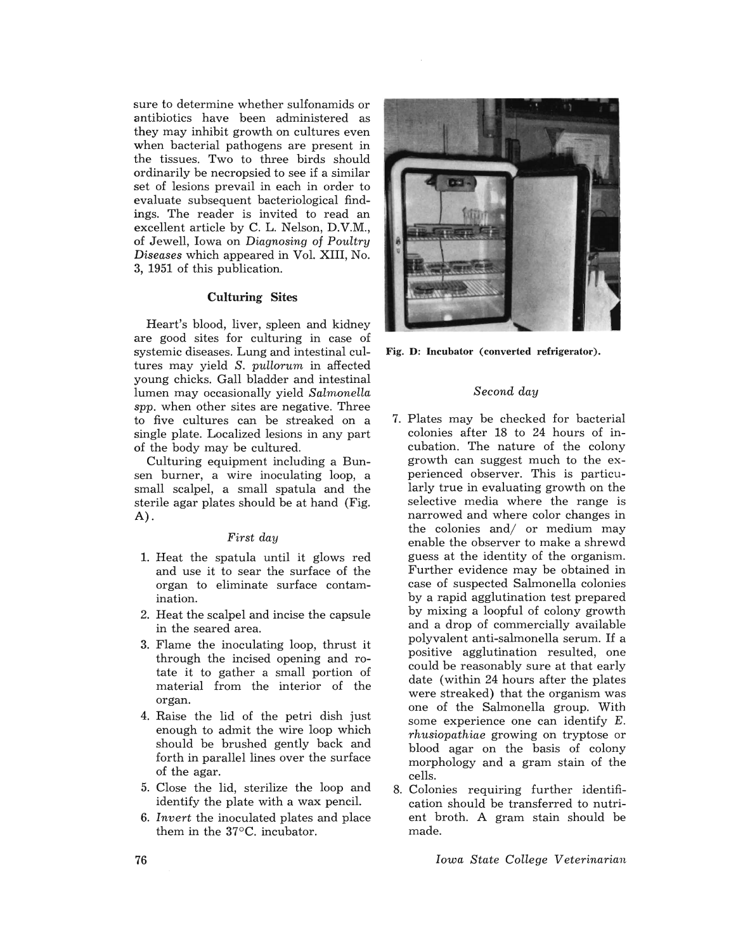sure to determine whether sulfonamids or antibiotics have been administered as they may inhibit growth on cultures even when bacterial pathogens are present in the tissues. Two to three birds should ordinarily be necropsied to see if a similar set of lesions prevail in each in order to evaluate subsequent bacteriological findings. The reader is invited to read an excellent article by C. L. Nelson, D.V.M., of Jewell, Iowa on *Diagnosing* of *Poultry Diseases* which appeared in Vol. XIII, No. 3, 1951 of this publication.

### Culturing Sites

Heart's blood, liver, spleen and kidney are good sites for culturing in case of systemic diseases. Lung and intestinal cultures may yield *S. pullorum* in affected young chicks. Gall bladder and intestinal lumen may occasionally yield *Salmonella spp.* when other sites are negative. Three to five cultures can be streaked on a single plate. Localized lesions in any part of the body may be cultured.

Culturing equipment including a Bunsen burner, a wire inoculating loop, a small scalpel, a small spatula and the sterile agar plates should be at hand (Fig. A) .

# *First day*

- 1. Heat the spatula until it glows red and use it to sear the surface of the organ to eliminate surface contamination.
- 2. Heat the scalpel and incise the capsule in the seared area.
- 3. Flame the inoculating loop, thrust it through the incised opening and rotate it to gather a small portion of material from the interior of the organ.
- 4. Raise the lid of the petri dish just enough to admit the wire loop which should be brushed gently back and forth in parallel lines over the surface of the agar.
- 5. Close the lid, sterilize the loop and identify the plate with a wax pencil.
- *6. Invert* the inoculated plates and place them in the 37°C. incubator.



Fig. D: Incubator (converted refrigerator).

#### *Second day*

- 7. Plates may be checked for bacterial colonies after 18 to 24 hours of incubation. The nature of the colony growth can suggest much to the experienced observer. This is particularly true in evaluating growth on the selective media where the range is narrowed and where color changes in the colonies and/ or medium may enable the observer to make a shrewd guess at the identity of the organism. Further evidence may be obtained in case of suspected Salmonella colonies by a rapid agglutination test prepared by mixing a loopful of colony growth and a drop of commercially available polyvalent anti-salmonella serum. If a positive agglutination resulted, one could be reasonably sure at that early date (within 24 hours after the plates were streaked) that the organism was one of the Salmonella group. With some experience one can identify E. *rhusiopathiae* growing on tryptose or blood agar on the basis of colony morphology and a gram stain of the cells.
- 8. Colonies requiring further identification should be transferred to nutrient broth. A gram stain should be made.

*Iowa State College Veterinarian*